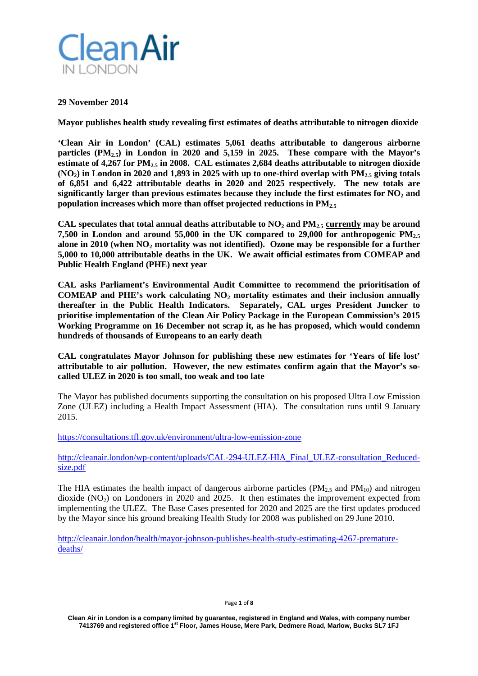

### **29 November 2014**

**Mayor publishes health study revealing first estimates of deaths attributable to nitrogen dioxide**

**'Clean Air in London' (CAL) estimates 5,061 deaths attributable to dangerous airborne particles (PM2.5) in London in 2020 and 5,159 in 2025. These compare with the Mayor's estimate of 4,267 for PM2.5 in 2008. CAL estimates 2,684 deaths attributable to nitrogen dioxide**   $(NO<sub>2</sub>)$  in London in 2020 and 1,893 in 2025 with up to one-third overlap with  $PM<sub>2.5</sub>$  giving totals **of 6,851 and 6,422 attributable deaths in 2020 and 2025 respectively. The new totals are**  significantly larger than previous estimates because they include the first estimates for NO<sub>2</sub> and **population increases which more than offset projected reductions in PM2.5**

**CAL speculates that total annual deaths attributable to NO2 and PM2.5 currently may be around 7,500 in London and around 55,000 in the UK compared to 29,000 for anthropogenic PM2.5** alone in 2010 (when NO<sub>2</sub> mortality was not identified). Ozone may be responsible for a further **5,000 to 10,000 attributable deaths in the UK. We await official estimates from COMEAP and Public Health England (PHE) next year**

**CAL asks Parliament's Environmental Audit Committee to recommend the prioritisation of COMEAP and PHE's work calculating NO2 mortality estimates and their inclusion annually thereafter in the Public Health Indicators. Separately, CAL urges President Juncker to prioritise implementation of the Clean Air Policy Package in the European Commission's 2015 Working Programme on 16 December not scrap it, as he has proposed, which would condemn hundreds of thousands of Europeans to an early death**

**CAL congratulates Mayor Johnson for publishing these new estimates for 'Years of life lost' attributable to air pollution. However, the new estimates confirm again that the Mayor's socalled ULEZ in 2020 is too small, too weak and too late**

The Mayor has published documents supporting the consultation on his proposed Ultra Low Emission Zone (ULEZ) including a Health Impact Assessment (HIA). The consultation runs until 9 January 2015.

<https://consultations.tfl.gov.uk/environment/ultra-low-emission-zone>

[http://cleanair.london/wp-content/uploads/CAL-294-ULEZ-HIA\\_Final\\_ULEZ-consultation\\_Reduced](http://cleanair.london/wp-content/uploads/CAL-294-ULEZ-HIA_Final_ULEZ-consultation_Reduced-size.pdf)[size.pdf](http://cleanair.london/wp-content/uploads/CAL-294-ULEZ-HIA_Final_ULEZ-consultation_Reduced-size.pdf)

The HIA estimates the health impact of dangerous airborne particles ( $PM_{2.5}$  and  $PM_{10}$ ) and nitrogen dioxide  $(NO_2)$  on Londoners in 2020 and 2025. It then estimates the improvement expected from implementing the ULEZ. The Base Cases presented for 2020 and 2025 are the first updates produced by the Mayor since his ground breaking Health Study for 2008 was published on 29 June 2010.

[http://cleanair.london/health/mayor-johnson-publishes-health-study-estimating-4267-premature](http://cleanair.london/health/mayor-johnson-publishes-health-study-estimating-4267-premature-deaths/)[deaths/](http://cleanair.london/health/mayor-johnson-publishes-health-study-estimating-4267-premature-deaths/)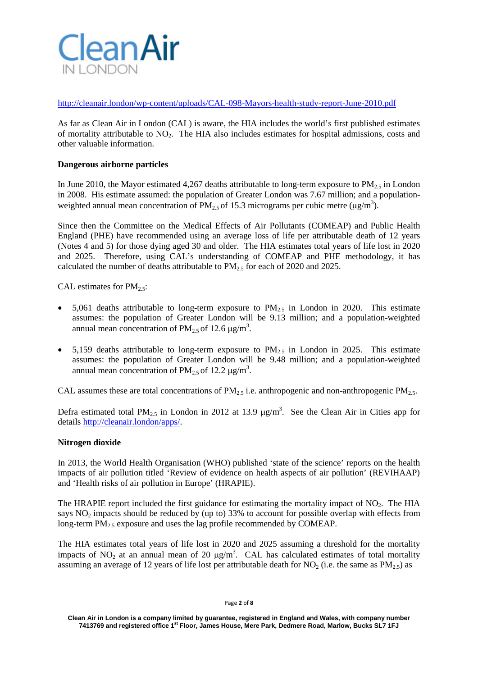

<http://cleanair.london/wp-content/uploads/CAL-098-Mayors-health-study-report-June-2010.pdf>

As far as Clean Air in London (CAL) is aware, the HIA includes the world's first published estimates of mortality attributable to  $NO<sub>2</sub>$ . The HIA also includes estimates for hospital admissions, costs and other valuable information.

# **Dangerous airborne particles**

In June 2010, the Mayor estimated 4,267 deaths attributable to long-term exposure to  $PM_{2.5}$  in London in 2008. His estimate assumed: the population of Greater London was 7.67 million; and a populationweighted annual mean concentration of  $PM_{2.5}$  of 15.3 micrograms per cubic metre ( $\mu$ g/m<sup>3</sup>).

Since then the Committee on the Medical Effects of Air Pollutants (COMEAP) and Public Health England (PHE) have recommended using an average loss of life per attributable death of 12 years (Notes 4 and 5) for those dying aged 30 and older. The HIA estimates total years of life lost in 2020 and 2025. Therefore, using CAL's understanding of COMEAP and PHE methodology, it has calculated the number of deaths attributable to  $PM_{2.5}$  for each of 2020 and 2025.

CAL estimates for  $PM_{2.5}$ :

- 5,061 deaths attributable to long-term exposure to  $PM_{2.5}$  in London in 2020. This estimate assumes: the population of Greater London will be 9.13 million; and a population-weighted annual mean concentration of  $PM_{2.5}$  of 12.6  $\mu$ g/m<sup>3</sup>.
- 5,159 deaths attributable to long-term exposure to  $PM_{2.5}$  in London in 2025. This estimate assumes: the population of Greater London will be 9.48 million; and a population-weighted annual mean concentration of  $PM_{2.5}$  of 12.2  $\mu$ g/m<sup>3</sup>.

CAL assumes these are total concentrations of  $PM_{2.5}$  i.e. anthropogenic and non-anthropogenic  $PM_{2.5}$ .

Defra estimated total PM<sub>2.5</sub> in London in 2012 at 13.9  $\mu$ g/m<sup>3</sup>. See the Clean Air in Cities app for details [http://cleanair.london/apps/.](http://cleanair.london/apps/)

### **Nitrogen dioxide**

In 2013, the World Health Organisation (WHO) published 'state of the science' reports on the health impacts of air pollution titled 'Review of evidence on health aspects of air pollution' (REVIHAAP) and 'Health risks of air pollution in Europe' (HRAPIE).

The HRAPIE report included the first guidance for estimating the mortality impact of NO<sub>2</sub>. The HIA says  $NO<sub>2</sub>$  impacts should be reduced by (up to) 33% to account for possible overlap with effects from long-term  $PM_{2.5}$  exposure and uses the lag profile recommended by COMEAP.

The HIA estimates total years of life lost in 2020 and 2025 assuming a threshold for the mortality impacts of NO<sub>2</sub> at an annual mean of 20  $\mu$ g/m<sup>3</sup>. CAL has calculated estimates of total mortality assuming an average of 12 years of life lost per attributable death for  $NO_2$  (i.e. the same as  $PM_{2.5}$ ) as

**Clean Air in London is a company limited by guarantee, registered in England and Wales, with company number 7413769 and registered office 1st Floor, James House, Mere Park, Dedmere Road, Marlow, Bucks SL7 1FJ**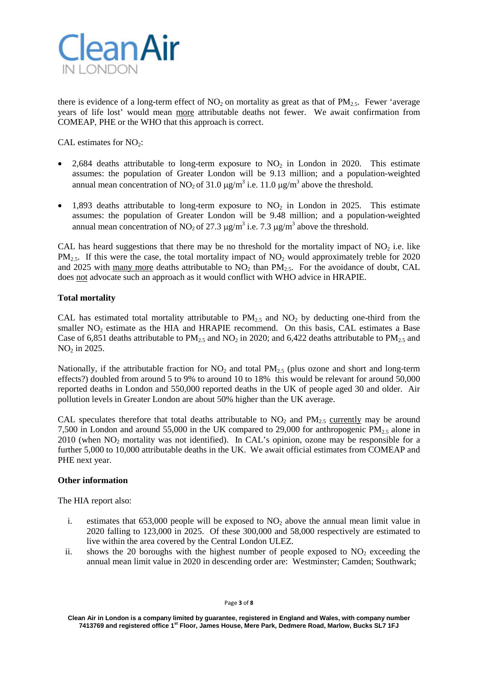

there is evidence of a long-term effect of  $NO_2$  on mortality as great as that of  $PM_{2.5}$ . Fewer 'average years of life lost' would mean more attributable deaths not fewer. We await confirmation from COMEAP, PHE or the WHO that this approach is correct.

CAL estimates for  $NO<sub>2</sub>$ :

- 2,684 deaths attributable to long-term exposure to  $NO<sub>2</sub>$  in London in 2020. This estimate assumes: the population of Greater London will be 9.13 million; and a population-weighted annual mean concentration of NO<sub>2</sub> of 31.0  $\mu$ g/m<sup>3</sup> i.e. 11.0  $\mu$ g/m<sup>3</sup> above the threshold.
- 1,893 deaths attributable to long-term exposure to  $NO<sub>2</sub>$  in London in 2025. This estimate assumes: the population of Greater London will be 9.48 million; and a population-weighted annual mean concentration of NO<sub>2</sub> of 27.3  $\mu$ g/m<sup>3</sup> i.e. 7.3  $\mu$ g/m<sup>3</sup> above the threshold.

CAL has heard suggestions that there may be no threshold for the mortality impact of  $NO<sub>2</sub>$  i.e. like  $PM_{2.5}$ . If this were the case, the total mortality impact of  $NO<sub>2</sub>$  would approximately treble for 2020 and 2025 with many more deaths attributable to  $NO<sub>2</sub>$  than  $PM<sub>2.5</sub>$ . For the avoidance of doubt, CAL does not advocate such an approach as it would conflict with WHO advice in HRAPIE.

# **Total mortality**

CAL has estimated total mortality attributable to  $PM_{2.5}$  and  $NO_2$  by deducting one-third from the smaller  $NO<sub>2</sub>$  estimate as the HIA and HRAPIE recommend. On this basis, CAL estimates a Base Case of 6,851 deaths attributable to  $PM_{2.5}$  and  $NO_2$  in 2020; and 6,422 deaths attributable to  $PM_{2.5}$  and NO<sub>2</sub> in 2025.

Nationally, if the attributable fraction for  $NO<sub>2</sub>$  and total  $PM<sub>2.5</sub>$  (plus ozone and short and long-term effects?) doubled from around 5 to 9% to around 10 to 18% this would be relevant for around 50,000 reported deaths in London and 550,000 reported deaths in the UK of people aged 30 and older. Air pollution levels in Greater London are about 50% higher than the UK average.

CAL speculates therefore that total deaths attributable to  $NO<sub>2</sub>$  and  $PM<sub>2.5</sub>$  currently may be around 7,500 in London and around 55,000 in the UK compared to 29,000 for anthropogenic PM<sub>2</sub>, alone in  $2010$  (when  $NO<sub>2</sub>$  mortality was not identified). In CAL's opinion, ozone may be responsible for a further 5,000 to 10,000 attributable deaths in the UK. We await official estimates from COMEAP and PHE next year.

### **Other information**

The HIA report also:

- i. estimates that  $653,000$  people will be exposed to  $NO<sub>2</sub>$  above the annual mean limit value in 2020 falling to 123,000 in 2025. Of these 300,000 and 58,000 respectively are estimated to live within the area covered by the Central London ULEZ.
- ii. shows the 20 boroughs with the highest number of people exposed to  $NO<sub>2</sub>$  exceeding the annual mean limit value in 2020 in descending order are: Westminster; Camden; Southwark;

Page **3** of **8**

**Clean Air in London is a company limited by guarantee, registered in England and Wales, with company number 7413769 and registered office 1st Floor, James House, Mere Park, Dedmere Road, Marlow, Bucks SL7 1FJ**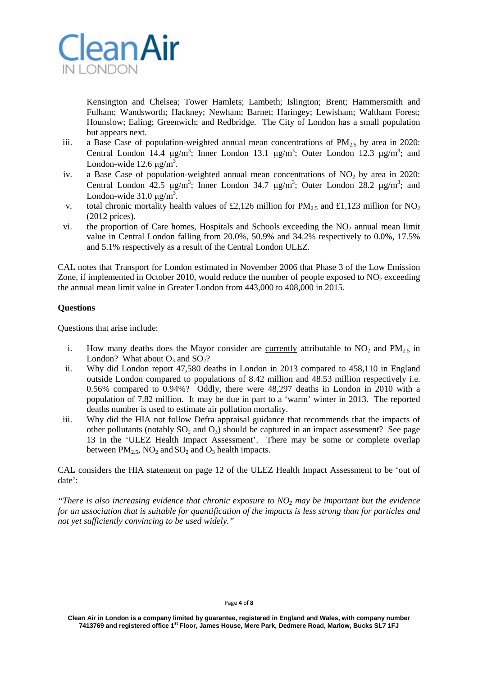

Kensington and Chelsea; Tower Hamlets; Lambeth; Islington; Brent; Hammersmith and Fulham; Wandsworth; Hackney; Newham; Barnet; Haringey; Lewisham; Waltham Forest; Hounslow; Ealing; Greenwich; and Redbridge. The City of London has a small population but appears next.

- iii. a Base Case of population-weighted annual mean concentrations of  $PM_{2.5}$  by area in 2020: Central London 14.4  $\mu$ g/m<sup>3</sup>; Inner London 13.1  $\mu$ g/m<sup>3</sup>; Outer London 12.3  $\mu$ g/m<sup>3</sup>; and London-wide  $12.6 \,\mathrm{\mu g/m^3}$ .
- iv. a Base Case of population-weighted annual mean concentrations of  $NO<sub>2</sub>$  by area in 2020: Central London 42.5  $\mu$ g/m<sup>3</sup>; Inner London 34.7  $\mu$ g/m<sup>3</sup>; Outer London 28.2  $\mu$ g/m<sup>3</sup>; and London-wide  $31.0 \,\mathrm{\mu g/m^3}$ .
- v. total chronic mortality health values of £2,126 million for  $PM_{2.5}$  and £1,123 million for  $NO_2$ (2012 prices).
- vi. the proportion of Care homes, Hospitals and Schools exceeding the  $NO<sub>2</sub>$  annual mean limit value in Central London falling from 20.0%, 50.9% and 34.2% respectively to 0.0%, 17.5% and 5.1% respectively as a result of the Central London ULEZ.

CAL notes that Transport for London estimated in November 2006 that Phase 3 of the Low Emission Zone, if implemented in October 2010, would reduce the number of people exposed to  $NO<sub>2</sub>$  exceeding the annual mean limit value in Greater London from 443,000 to 408,000 in 2015.

# **Questions**

Questions that arise include:

- i. How many deaths does the Mayor consider are currently attributable to  $NO<sub>2</sub>$  and  $PM<sub>2.5</sub>$  in London? What about  $O_3$  and  $SO_2$ ?
- ii. Why did London report 47,580 deaths in London in 2013 compared to 458,110 in England outside London compared to populations of 8.42 million and 48.53 million respectively i.e. 0.56% compared to 0.94%? Oddly, there were 48,297 deaths in London in 2010 with a population of 7.82 million. It may be due in part to a 'warm' winter in 2013. The reported deaths number is used to estimate air pollution mortality.
- iii. Why did the HIA not follow Defra appraisal guidance that recommends that the impacts of other pollutants (notably  $SO_2$  and  $O_3$ ) should be captured in an impact assessment? See page 13 in the 'ULEZ Health Impact Assessment'. There may be some or complete overlap between  $PM_2$ ,  $\overline{NO_2}$  and  $\overline{SO_2}$  and  $\overline{O_3}$  health impacts.

CAL considers the HIA statement on page 12 of the ULEZ Health Impact Assessment to be 'out of date':

*"There is also increasing evidence that chronic exposure to NO2 may be important but the evidence for an association that is suitable for quantification of the impacts is less strong than for particles and not yet sufficiently convincing to be used widely."*

#### Page **4** of **8**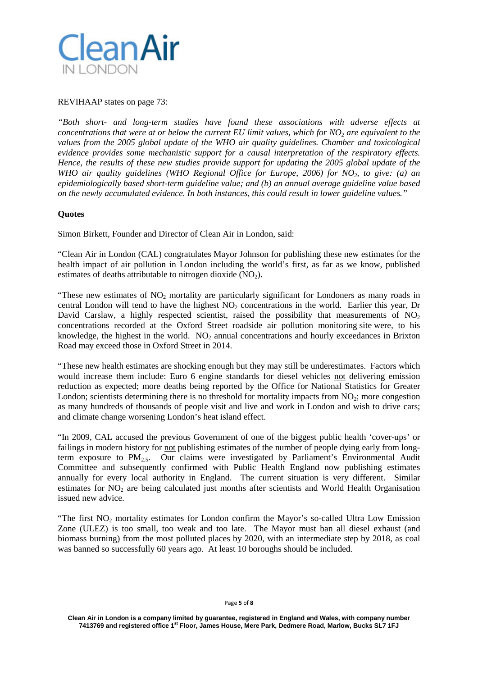

### REVIHAAP states on page 73:

*"Both short- and long-term studies have found these associations with adverse effects at concentrations that were at or below the current EU limit values, which for NO<sub>2</sub> are equivalent to the values from the 2005 global update of the WHO air quality guidelines. Chamber and toxicological evidence provides some mechanistic support for a causal interpretation of the respiratory effects. Hence, the results of these new studies provide support for updating the 2005 global update of the WHO air quality guidelines (WHO Regional Office for Europe, 2006) for NO2, to give: (a) an epidemiologically based short-term guideline value; and (b) an annual average guideline value based on the newly accumulated evidence. In both instances, this could result in lower guideline values."*

### **Quotes**

Simon Birkett, Founder and Director of Clean Air in London, said:

"Clean Air in London (CAL) congratulates Mayor Johnson for publishing these new estimates for the health impact of air pollution in London including the world's first, as far as we know, published estimates of deaths attributable to nitrogen dioxide  $(NO<sub>2</sub>)$ .

"These new estimates of  $NO<sub>2</sub>$  mortality are particularly significant for Londoners as many roads in central London will tend to have the highest NO<sub>2</sub> concentrations in the world. Earlier this year, Dr David Carslaw, a highly respected scientist, raised the possibility that measurements of  $NO<sub>2</sub>$ concentrations recorded at the Oxford Street roadside air pollution monitoring [site](http://goo.gl/Ex2qt9) were, to his knowledge, the highest in the world.  $NO<sub>2</sub>$  annual concentrations and hourly exceedances in Brixton Road may exceed those in Oxford Street in 2014.

"These new health estimates are shocking enough but they may still be underestimates. Factors which would increase them include: Euro 6 engine standards for diesel vehicles not delivering emission reduction as expected; more deaths being reported by the Office for National Statistics for Greater London; scientists determining there is no threshold for mortality impacts from  $NO<sub>2</sub>$ ; more congestion as many hundreds of thousands of people visit and live and work in London and wish to drive cars; and climate change worsening London's heat island effect.

"In 2009, CAL accused the previous Government of one of the biggest public health 'cover-ups' or failings in modern history for not publishing estimates of the number of people dying early from longterm exposure to  $PM_{2.5}$ . Our claims were investigated by Parliament's Environmental Audit Committee and subsequently confirmed with Public Health England now publishing estimates annually for every local authority in England. The current situation is very different. Similar estimates for  $NO<sub>2</sub>$  are being calculated just months after scientists and World Health Organisation issued new advice.

"The first  $NO<sub>2</sub>$  mortality estimates for London confirm the Mayor's so-called Ultra Low Emission Zone (ULEZ) is too small, too weak and too late. The Mayor must ban all diesel exhaust (and biomass burning) from the most polluted places by 2020, with an intermediate step by 2018, as coal was banned so successfully 60 years ago. At least 10 boroughs should be included.

#### Page **5** of **8**

**Clean Air in London is a company limited by guarantee, registered in England and Wales, with company number 7413769 and registered office 1st Floor, James House, Mere Park, Dedmere Road, Marlow, Bucks SL7 1FJ**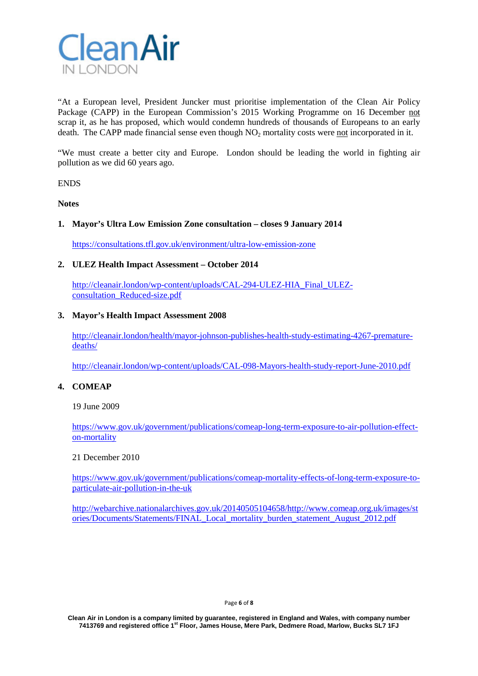

"At a European level, President Juncker must prioritise implementation of the Clean Air Policy Package (CAPP) in the European Commission's 2015 Working Programme on 16 December not scrap it, as he has proposed, which would condemn hundreds of thousands of Europeans to an early death. The CAPP made financial sense even though  $NO<sub>2</sub>$  mortality costs were not incorporated in it.

"We must create a better city and Europe. London should be leading the world in fighting air pollution as we did 60 years ago.

**ENDS** 

**Notes**

### **1. Mayor's Ultra Low Emission Zone consultation – closes 9 January 2014**

<https://consultations.tfl.gov.uk/environment/ultra-low-emission-zone>

### **2. ULEZ Health Impact Assessment – October 2014**

[http://cleanair.london/wp-content/uploads/CAL-294-ULEZ-HIA\\_Final\\_ULEZ](http://cleanair.london/wp-content/uploads/CAL-294-ULEZ-HIA_Final_ULEZ-consultation_Reduced-size.pdf)[consultation\\_Reduced-size.pdf](http://cleanair.london/wp-content/uploads/CAL-294-ULEZ-HIA_Final_ULEZ-consultation_Reduced-size.pdf)

### **3. Mayor's Health Impact Assessment 2008**

[http://cleanair.london/health/mayor-johnson-publishes-health-study-estimating-4267-premature](http://cleanair.london/health/mayor-johnson-publishes-health-study-estimating-4267-premature-deaths/)[deaths/](http://cleanair.london/health/mayor-johnson-publishes-health-study-estimating-4267-premature-deaths/)

<http://cleanair.london/wp-content/uploads/CAL-098-Mayors-health-study-report-June-2010.pdf>

### **4. COMEAP**

19 June 2009

[https://www.gov.uk/government/publications/comeap-long-term-exposure-to-air-pollution-effect](https://www.gov.uk/government/publications/comeap-long-term-exposure-to-air-pollution-effect-on-mortality)[on-mortality](https://www.gov.uk/government/publications/comeap-long-term-exposure-to-air-pollution-effect-on-mortality)

#### 21 December 2010

[https://www.gov.uk/government/publications/comeap-mortality-effects-of-long-term-exposure-to](https://www.gov.uk/government/publications/comeap-mortality-effects-of-long-term-exposure-to-particulate-air-pollution-in-the-uk)[particulate-air-pollution-in-the-uk](https://www.gov.uk/government/publications/comeap-mortality-effects-of-long-term-exposure-to-particulate-air-pollution-in-the-uk)

[http://webarchive.nationalarchives.gov.uk/20140505104658/http://www.comeap.org.uk/images/st](http://webarchive.nationalarchives.gov.uk/20140505104658/http:/www.comeap.org.uk/images/stories/Documents/Statements/FINAL_Local_mortality_burden_statement_August_2012.pdf) [ories/Documents/Statements/FINAL\\_Local\\_mortality\\_burden\\_statement\\_August\\_2012.pdf](http://webarchive.nationalarchives.gov.uk/20140505104658/http:/www.comeap.org.uk/images/stories/Documents/Statements/FINAL_Local_mortality_burden_statement_August_2012.pdf)

#### Page **6** of **8**

**Clean Air in London is a company limited by guarantee, registered in England and Wales, with company number 7413769 and registered office 1st Floor, James House, Mere Park, Dedmere Road, Marlow, Bucks SL7 1FJ**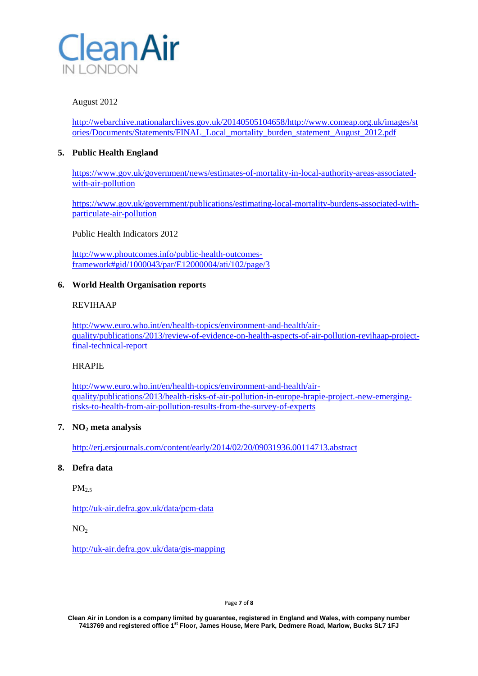

# August 2012

[http://webarchive.nationalarchives.gov.uk/20140505104658/http://www.comeap.org.uk/images/st](http://webarchive.nationalarchives.gov.uk/20140505104658/http:/www.comeap.org.uk/images/stories/Documents/Statements/FINAL_Local_mortality_burden_statement_August_2012.pdf) [ories/Documents/Statements/FINAL\\_Local\\_mortality\\_burden\\_statement\\_August\\_2012.pdf](http://webarchive.nationalarchives.gov.uk/20140505104658/http:/www.comeap.org.uk/images/stories/Documents/Statements/FINAL_Local_mortality_burden_statement_August_2012.pdf)

# **5. Public Health England**

[https://www.gov.uk/government/news/estimates-of-mortality-in-local-authority-areas-associated](https://www.gov.uk/government/news/estimates-of-mortality-in-local-authority-areas-associated-with-air-pollution)[with-air-pollution](https://www.gov.uk/government/news/estimates-of-mortality-in-local-authority-areas-associated-with-air-pollution)

[https://www.gov.uk/government/publications/estimating-local-mortality-burdens-associated-with](https://www.gov.uk/government/publications/estimating-local-mortality-burdens-associated-with-particulate-air-pollution)[particulate-air-pollution](https://www.gov.uk/government/publications/estimating-local-mortality-burdens-associated-with-particulate-air-pollution)

Public Health Indicators 2012

[http://www.phoutcomes.info/public-health-outcomes](http://www.phoutcomes.info/public-health-outcomes-framework#gid/1000043/par/E12000004/ati/102/page/3)[framework#gid/1000043/par/E12000004/ati/102/page/3](http://www.phoutcomes.info/public-health-outcomes-framework#gid/1000043/par/E12000004/ati/102/page/3)

# **6. World Health Organisation reports**

# REVIHAAP

[http://www.euro.who.int/en/health-topics/environment-and-health/air](http://www.euro.who.int/en/health-topics/environment-and-health/air-quality/publications/2013/review-of-evidence-on-health-aspects-of-air-pollution-revihaap-project-final-technical-report)[quality/publications/2013/review-of-evidence-on-health-aspects-of-air-pollution-revihaap-project](http://www.euro.who.int/en/health-topics/environment-and-health/air-quality/publications/2013/review-of-evidence-on-health-aspects-of-air-pollution-revihaap-project-final-technical-report)[final-technical-report](http://www.euro.who.int/en/health-topics/environment-and-health/air-quality/publications/2013/review-of-evidence-on-health-aspects-of-air-pollution-revihaap-project-final-technical-report)

### **HRAPIE**

[http://www.euro.who.int/en/health-topics/environment-and-health/air](http://www.euro.who.int/en/health-topics/environment-and-health/air-quality/publications/2013/health-risks-of-air-pollution-in-europe-hrapie-project.-new-emerging-risks-to-health-from-air-pollution-results-from-the-survey-of-experts)[quality/publications/2013/health-risks-of-air-pollution-in-europe-hrapie-project.-new-emerging](http://www.euro.who.int/en/health-topics/environment-and-health/air-quality/publications/2013/health-risks-of-air-pollution-in-europe-hrapie-project.-new-emerging-risks-to-health-from-air-pollution-results-from-the-survey-of-experts)[risks-to-health-from-air-pollution-results-from-the-survey-of-experts](http://www.euro.who.int/en/health-topics/environment-and-health/air-quality/publications/2013/health-risks-of-air-pollution-in-europe-hrapie-project.-new-emerging-risks-to-health-from-air-pollution-results-from-the-survey-of-experts)

### **7. NO2 meta analysis**

<http://erj.ersjournals.com/content/early/2014/02/20/09031936.00114713.abstract>

# **8. Defra data**

 $PM<sub>2.5</sub>$ 

<http://uk-air.defra.gov.uk/data/pcm-data>

 $NO<sub>2</sub>$ 

<http://uk-air.defra.gov.uk/data/gis-mapping>

Page **7** of **8**

**Clean Air in London is a company limited by guarantee, registered in England and Wales, with company number 7413769 and registered office 1st Floor, James House, Mere Park, Dedmere Road, Marlow, Bucks SL7 1FJ**